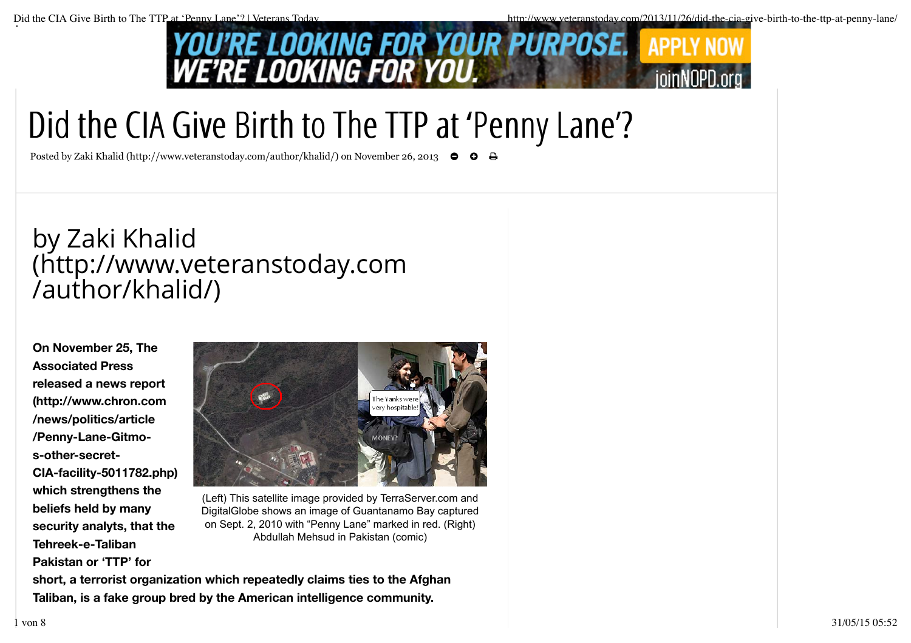

## Did the CIA Give Birth to The TTP at 'Penny Lane'?

Posted by Zaki Khalid (http://www.veteranstoday.com/author/khalid/) on November 26, 2013 ←

## by Zaki Khalid (http://www.veteranstoday.com /author/khalid/)

**On November 25, The Associated Press released a news report (http://www.chron.com /news/politics/article /Penny-Lane-Gitmos-other-secret-CIA-facility-5011782.php) which strengthens the beliefs held by many security analyts, that the Tehreek-e-Taliban Pakistan or 'TTP' for**



(Left) This satellite image provided by TerraServer.com and DigitalGlobe shows an image of Guantanamo Bay captured on Sept. 2, 2010 with "Penny Lane" marked in red. (Right) Abdullah Mehsud in Pakistan (comic)

**short, a terrorist organization which repeatedly claims ties to the Afghan Taliban, is a fake group bred by the American intelligence community.**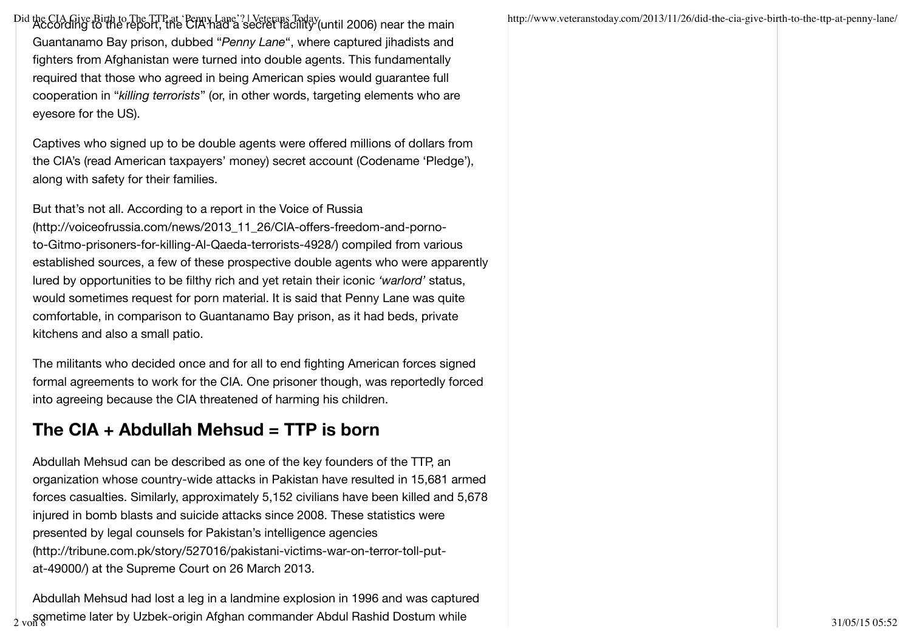Did the CIA Give Birth to The TTP at 'Penny Lane'?||Veterans Today (until 2006) near the main http://www.veteranstoday.com/2013/11/26/did-the-cia-give-birth-to-the-ttp-at-penny-lane/<br>|- According to the report, the CIA had Guantanamo Bay prison, dubbed "*Penny Lane*", where captured jihadists and fighters from Afghanistan were turned into double agents. This fundamentally required that those who agreed in being American spies would guarantee full cooperation in "*killing terrorists*" (or, in other words, targeting elements who are eyesore for the US).

Captives who signed up to be double agents were offered millions of dollars from the CIA's (read American taxpayers' money) secret account (Codename 'Pledge'), along with safety for their families.

But that's not all. According to a report in the Voice of Russia (http://voiceofrussia.com/news/2013\_11\_26/CIA-offers-freedom-and-pornoto-Gitmo-prisoners-for-killing-Al-Qaeda-terrorists-4928/) compiled from various established sources, a few of these prospective double agents who were apparently lured by opportunities to be filthy rich and yet retain their iconic *'warlord'* status, would sometimes request for porn material. It is said that Penny Lane was quite comfortable, in comparison to Guantanamo Bay prison, as it had beds, private kitchens and also a small patio.

The militants who decided once and for all to end fighting American forces signed formal agreements to work for the CIA. One prisoner though, was reportedly forced into agreeing because the CIA threatened of harming his children.

## **The CIA + Abdullah Mehsud = TTP is born**

Abdullah Mehsud can be described as one of the key founders of the TTP, an organization whose country-wide attacks in Pakistan have resulted in 15,681 armed forces casualties. Similarly, approximately 5,152 civilians have been killed and 5,678 injured in bomb blasts and suicide attacks since 2008. These statistics were presented by legal counsels for Pakistan's intelligence agencies (http://tribune.com.pk/story/527016/pakistani-victims-war-on-terror-toll-putat-49000/) at the Supreme Court on 26 March 2013.

Abdullah Mehsud had lost a leg in a landmine explosion in 1996 and was captured  $\frac{1}{2}$  von 8 section and the later by Uzbek-origin Afghan commander Abdul Rashid Dostum while  $_{2}$  von 8  $_{31}$  and  $_{31/05/15}$   $_{31/05/15}$   $_{35:52}$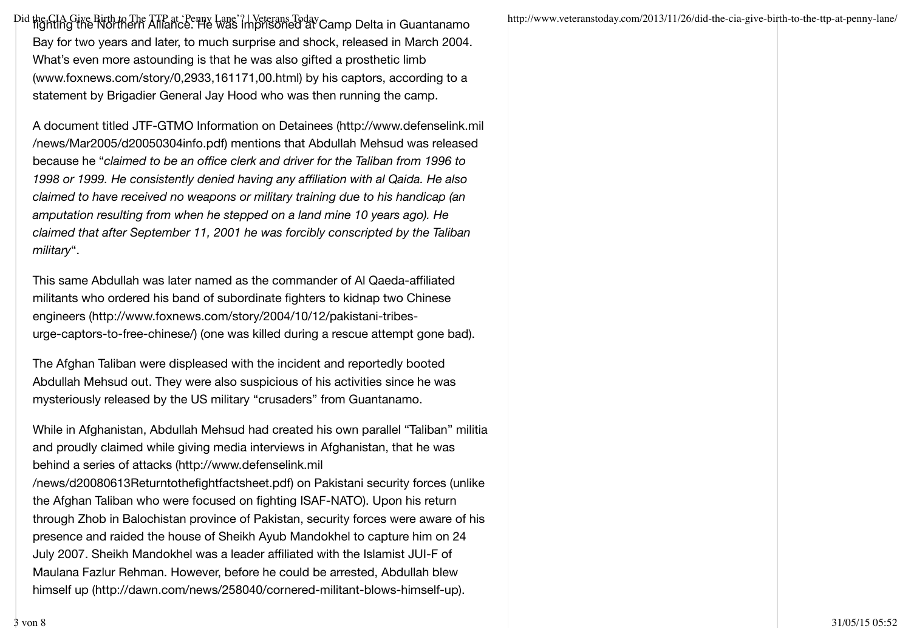Did the CIA Give Birth to The TTP at 'Penny Lane'?||Veterans Today Camp Delta in Guantanamo http://www.veteranstoday.com/2013/11/26/did-the-cia-give-birth-to-the-ttp-at-penny-lane/<br>|- http://www.veteranstoday.com/2013/11/2 Bay for two years and later, to much surprise and shock, released in March 2004. What's even more astounding is that he was also gifted a prosthetic limb (www.foxnews.com/story/0,2933,161171,00.html) by his captors, according to a statement by Brigadier General Jay Hood who was then running the camp.

A document titled JTF-GTMO Information on Detainees (http://www.defenselink.mil /news/Mar2005/d20050304info.pdf) mentions that Abdullah Mehsud was released because he "*claimed to be an office clerk and driver for the Taliban from 1996 to 1998 or 1999. He consistently denied having any affiliation with al Qaida. He also claimed to have received no weapons or military training due to his handicap (an amputation resulting from when he stepped on a land mine 10 years ago). He claimed that after September 11, 2001 he was forcibly conscripted by the Taliban military*".

This same Abdullah was later named as the commander of Al Qaeda-affiliated militants who ordered his band of subordinate fighters to kidnap two Chinese engineers (http://www.foxnews.com/story/2004/10/12/pakistani-tribesurge-captors-to-free-chinese/) (one was killed during a rescue attempt gone bad).

The Afghan Taliban were displeased with the incident and reportedly booted Abdullah Mehsud out. They were also suspicious of his activities since he was mysteriously released by the US military "crusaders" from Guantanamo.

While in Afghanistan, Abdullah Mehsud had created his own parallel "Taliban" militia and proudly claimed while giving media interviews in Afghanistan, that he was behind a series of attacks (http://www.defenselink.mil /news/d20080613Returntothefightfactsheet.pdf) on Pakistani security forces (unlike the Afghan Taliban who were focused on fighting ISAF-NATO). Upon his return through Zhob in Balochistan province of Pakistan, security forces were aware of his presence and raided the house of Sheikh Ayub Mandokhel to capture him on 24 July 2007. Sheikh Mandokhel was a leader affiliated with the Islamist JUI-F of Maulana Fazlur Rehman. However, before he could be arrested, Abdullah blew himself up (http://dawn.com/news/258040/cornered-militant-blows-himself-up).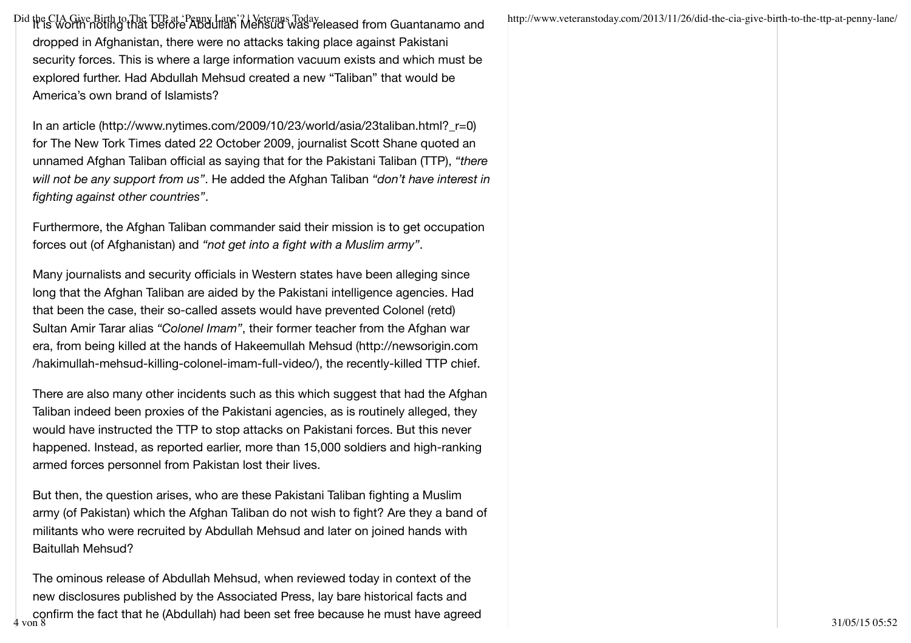Did the CIA Give Birth to The TTP at 'Penny Lane'? | Veterans Today<br>|- http://www.veteranstoday.com/2013/11/26/did-the-cia-give-birth-to-the-ttp-at-penny-lane/<br>|- http://www.veteranstoday.com/2013/11/26/did-the-cia-give-bi dropped in Afghanistan, there were no attacks taking place against Pakistani security forces. This is where a large information vacuum exists and which must be explored further. Had Abdullah Mehsud created a new "Taliban" that would be America's own brand of Islamists?

In an article (http://www.nytimes.com/2009/10/23/world/asia/23taliban.html?\_r=0) for The New Tork Times dated 22 October 2009, journalist Scott Shane quoted an unnamed Afghan Taliban official as saying that for the Pakistani Taliban (TTP), *"there will not be any support from us"*. He added the Afghan Taliban *"don't have interest in fighting against other countries"*.

Furthermore, the Afghan Taliban commander said their mission is to get occupation forces out (of Afghanistan) and *"not get into a fight with a Muslim army"*.

Many journalists and security officials in Western states have been alleging since long that the Afghan Taliban are aided by the Pakistani intelligence agencies. Had that been the case, their so-called assets would have prevented Colonel (retd) Sultan Amir Tarar alias *"Colonel Imam"*, their former teacher from the Afghan war era, from being killed at the hands of Hakeemullah Mehsud (http://newsorigin.com /hakimullah-mehsud-killing-colonel-imam-full-video/), the recently-killed TTP chief.

There are also many other incidents such as this which suggest that had the Afghan Taliban indeed been proxies of the Pakistani agencies, as is routinely alleged, they would have instructed the TTP to stop attacks on Pakistani forces. But this never happened. Instead, as reported earlier, more than 15,000 soldiers and high-ranking armed forces personnel from Pakistan lost their lives.

But then, the question arises, who are these Pakistani Taliban fighting a Muslim army (of Pakistan) which the Afghan Taliban do not wish to fight? Are they a band of militants who were recruited by Abdullah Mehsud and later on joined hands with Baitullah Mehsud?

The ominous release of Abdullah Mehsud, when reviewed today in context of the new disclosures published by the Associated Press, lay bare historical facts and | confirm the fact that he (Abdullah) had been set free because he must have agreed<br>4 von 8 31/05/15 05:52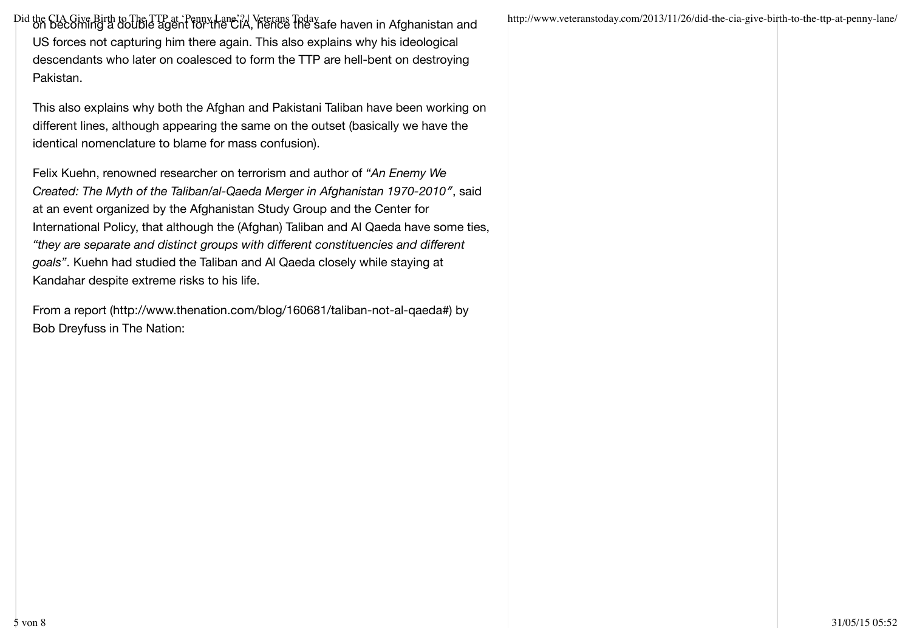Did the CIA Give Birth to The TTP at 'Penny Lane'? Veterans Today Veterans and http://www.veteranstoday.com/2013/11/26/did-the-cia-give-birth-to-the-ttp-at-penny-lane/<br>| http://www.veteranstoday.com/2013/11/26/did-the-cia-US forces not capturing him there again. This also explains why his ideological descendants who later on coalesced to form the TTP are hell-bent on destroying Pakistan.

This also explains why both the Afghan and Pakistani Taliban have been working on different lines, although appearing the same on the outset (basically we have the identical nomenclature to blame for mass confusion).

Felix Kuehn, renowned researcher on terrorism and author of *"An Enemy We Created: The Myth of the Taliban/al-Qaeda Merger in Afghanistan 1970-2010″*, said at an event organized by the Afghanistan Study Group and the Center for International Policy, that although the (Afghan) Taliban and Al Qaeda have some ties, *"they are separate and distinct groups with different constituencies and different goals"*. Kuehn had studied the Taliban and Al Qaeda closely while staying at Kandahar despite extreme risks to his life.

From a report (http://www.thenation.com/blog/160681/taliban-not-al-qaeda#) by Bob Dreyfuss in The Nation: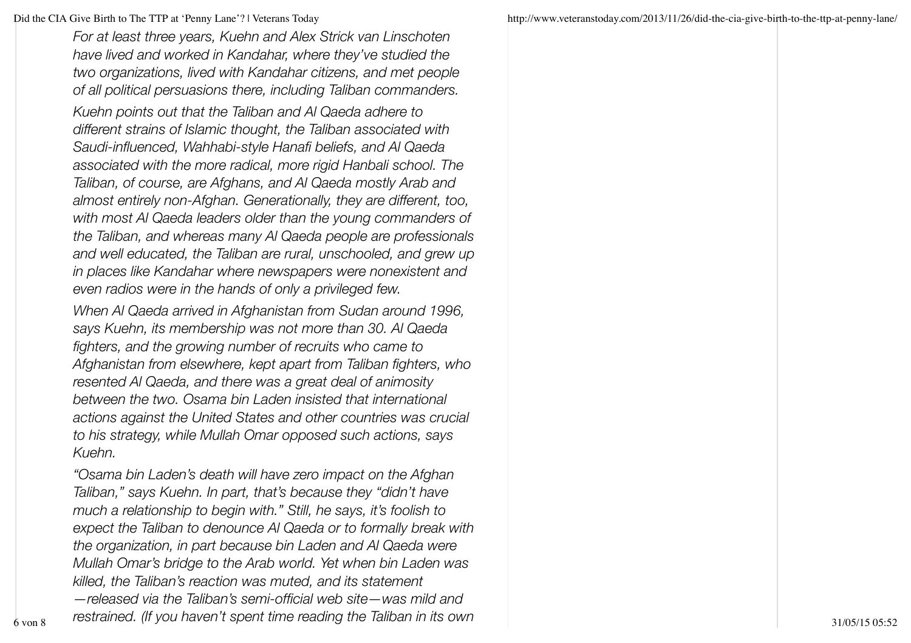*For at least three years, Kuehn and Alex Strick van Linschoten have lived and worked in Kandahar, where they've studied the two organizations, lived with Kandahar citizens, and met people of all political persuasions there, including Taliban commanders. Kuehn points out that the Taliban and Al Qaeda adhere to different strains of Islamic thought, the Taliban associated with Saudi-influenced, Wahhabi-style Hanafi beliefs, and Al Qaeda associated with the more radical, more rigid Hanbali school. The Taliban, of course, are Afghans, and Al Qaeda mostly Arab and almost entirely non-Afghan. Generationally, they are different, too, with most Al Qaeda leaders older than the young commanders of the Taliban, and whereas many Al Qaeda people are professionals and well educated, the Taliban are rural, unschooled, and grew up in places like Kandahar where newspapers were nonexistent and even radios were in the hands of only a privileged few.*

*When Al Qaeda arrived in Afghanistan from Sudan around 1996, says Kuehn, its membership was not more than 30. Al Qaeda fighters, and the growing number of recruits who came to Afghanistan from elsewhere, kept apart from Taliban fighters, who resented Al Qaeda, and there was a great deal of animosity between the two. Osama bin Laden insisted that international actions against the United States and other countries was crucial to his strategy, while Mullah Omar opposed such actions, says Kuehn.*

*"Osama bin Laden's death will have zero impact on the Afghan Taliban," says Kuehn. In part, that's because they "didn't have much a relationship to begin with." Still, he says, it's foolish to expect the Taliban to denounce Al Qaeda or to formally break with the organization, in part because bin Laden and Al Qaeda were Mullah Omar's bridge to the Arab world. Yet when bin Laden was killed, the Taliban's reaction was muted, and its statement —released via the Taliban's semi-official web site—was mild and restrained. (If you haven't spent time reading the Taliban in its own* 6 von 8 31/05/15 05:52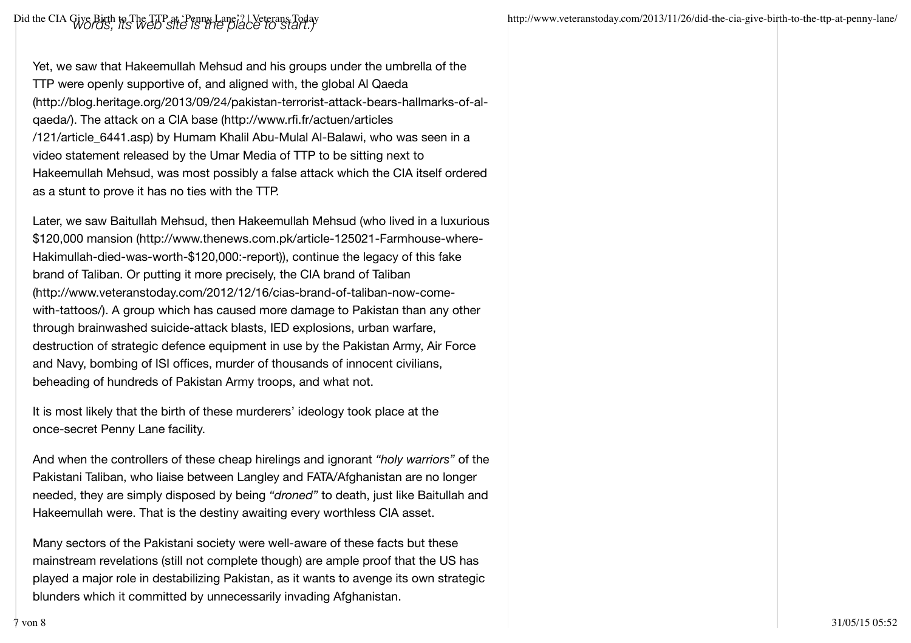Yet, we saw that Hakeemullah Mehsud and his groups under the umbrella of the TTP were openly supportive of, and aligned with, the global Al Qaeda (http://blog.heritage.org/2013/09/24/pakistan-terrorist-attack-bears-hallmarks-of-alqaeda/). The attack on a CIA base (http://www.rfi.fr/actuen/articles /121/article\_6441.asp) by Humam Khalil Abu-Mulal Al-Balawi, who was seen in a video statement released by the Umar Media of TTP to be sitting next to Hakeemullah Mehsud, was most possibly a false attack which the CIA itself ordered as a stunt to prove it has no ties with the TTP.

Later, we saw Baitullah Mehsud, then Hakeemullah Mehsud (who lived in a luxurious \$120,000 mansion (http://www.thenews.com.pk/article-125021-Farmhouse-where-Hakimullah-died-was-worth-\$120,000:-report)), continue the legacy of this fake brand of Taliban. Or putting it more precisely, the CIA brand of Taliban (http://www.veteranstoday.com/2012/12/16/cias-brand-of-taliban-now-comewith-tattoos/). A group which has caused more damage to Pakistan than any other through brainwashed suicide-attack blasts, IED explosions, urban warfare, destruction of strategic defence equipment in use by the Pakistan Army, Air Force and Navy, bombing of ISI offices, murder of thousands of innocent civilians, beheading of hundreds of Pakistan Army troops, and what not.

It is most likely that the birth of these murderers' ideology took place at the once-secret Penny Lane facility.

And when the controllers of these cheap hirelings and ignorant *"holy warriors"* of the Pakistani Taliban, who liaise between Langley and FATA/Afghanistan are no longer needed, they are simply disposed by being *"droned"* to death, just like Baitullah and Hakeemullah were. That is the destiny awaiting every worthless CIA asset.

Many sectors of the Pakistani society were well-aware of these facts but these mainstream revelations (still not complete though) are ample proof that the US has played a major role in destabilizing Pakistan, as it wants to avenge its own strategic blunders which it committed by unnecessarily invading Afghanistan.